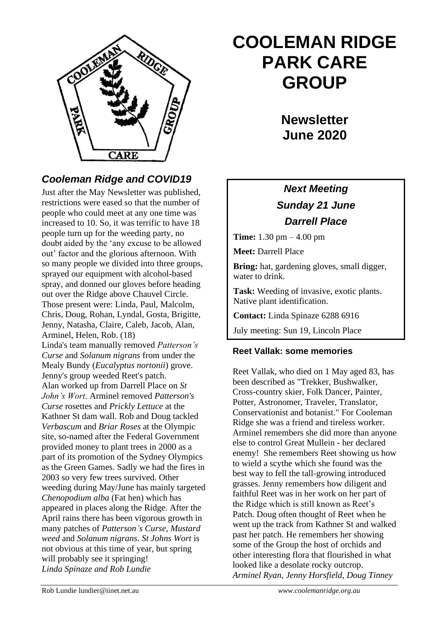

# **COOLEMAN RIDGE PARK CARE GROUP**

**Newsletter June 2020** 

## *Cooleman Ridge and COVID19*

Just after the May Newsletter was published, restrictions were eased so that the number of people who could meet at any one time was increased to 10. So, it was terrific to have 18 people turn up for the weeding party, no doubt aided by the 'any excuse to be allowed out' factor and the glorious afternoon. With so many people we divided into three groups, sprayed our equipment with alcohol-based spray, and donned our gloves before heading out over the Ridge above Chauvel Circle. Those present were: Linda, Paul, Malcolm, Chris, Doug, Rohan, Lyndal, Gosta, Brigitte, Jenny, Natasha, Claire, Caleb, Jacob, Alan, Arminel, Helen, Rob. (18) Linda's team manually removed *Patterson's Curse* and *Solanum nigrans* from under the Mealy Bundy (*Eucalyptus nortonii*) grove. Jenny's group weeded Reet's patch. Alan worked up from Darrell Place on *St John's Wort*. Arminel removed *Patterson's Curse* rosettes and *Prickly Lettuce* at the Kathner St dam wall. Rob and Doug tackled *Verbascum* and *Briar Roses* at the Olympic site, so-named after the Federal Government provided money to plant trees in 2000 as a part of its promotion of the Sydney Olympics as the Green Games. Sadly we had the fires in 2003 so very few trees survived. Other weeding during May/June has mainly targeted *Chenopodium alba* (Fat hen) which has appeared in places along the Ridge. After the April rains there has been vigorous growth in many patches of *Patterson's Curse*, *Mustard weed* and *Solanum nigrans*. *St Johns Wort* is not obvious at this time of year, but spring will probably see it springing! *Linda Spinaze and Rob Lundie*

### *Next Meeting Sunday 21 June Darrell Place*

**Time:** 1.30 pm – 4.00 pm

**Meet:** Darrell Place

**Bring:** hat, gardening gloves, small digger, water to drink.

**Task:** Weeding of invasive, exotic plants. Native plant identification.

**Contact:** Linda Spinaze 6288 6916

July meeting: Sun 19, Lincoln Place

### **Reet Vallak: some memories**

Reet Vallak, who died on 1 May aged 83, has been described as "Trekker, Bushwalker, Cross-country skier, Folk Dancer, Painter, Potter, Astronomer, Traveler, Translator, Conservationist and botanist." For Cooleman Ridge she was a friend and tireless worker. Arminel remembers she did more than anyone else to control Great Mullein - her declared enemy! She remembers Reet showing us how to wield a scythe which she found was the best way to fell the tall-growing introduced grasses. Jenny remembers how diligent and faithful Reet was in her work on her part of the Ridge which is still known as Reet's Patch. Doug often thought of Reet when he went up the track from Kathner St and walked past her patch. He remembers her showing some of the Group the host of orchids and other interesting flora that flourished in what looked like a desolate rocky outcrop. *Arminel Ryan, Jenny Horsfield, Doug Tinney*